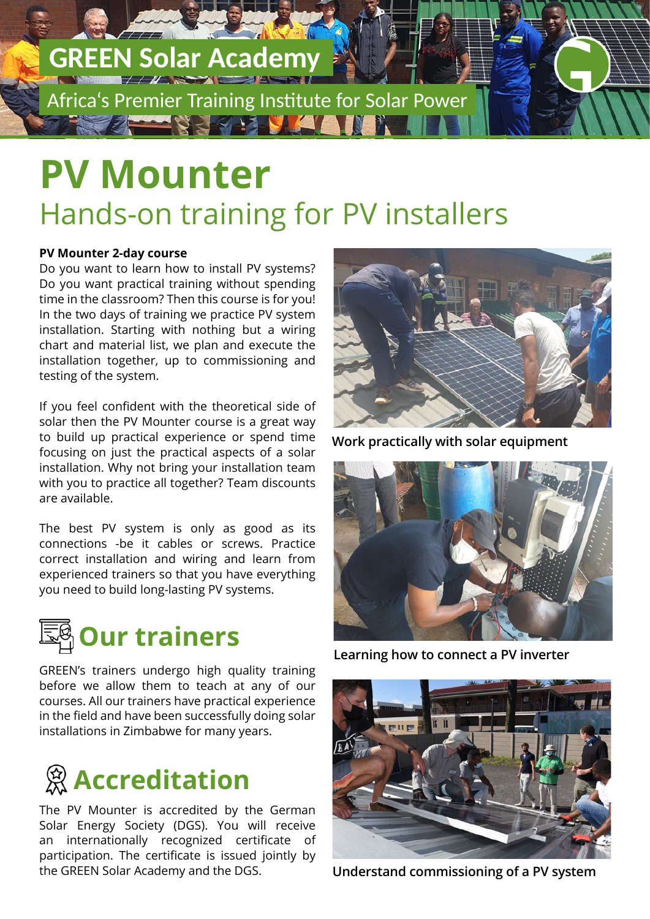## **GREEN Solar Academy**

Africa's Premier Training Institute for Solar Power

## **PV Mounter** Hands-on training for PV installers

#### **PV Mounter 2-day course**

Do you want to learn how to install PV systems? Do you want practical training without spending time in the classroom? Then this course is for you! In the two days of training we practice PV system installation. Starting with nothing but a wiring chart and material list, we plan and execute the installation together, up to commissioning and testing of the system.

If you feel confident with the theoretical side of solar then the PV Mounter course is a great way to build up practical experience or spend time focusing on just the practical aspects of a solar installation. Why not bring your installation team with you to practice all together? Team discounts are available.

The best PV system is only as good as its connections -be it cables or screws. Practice correct installation and wiring and learn from experienced trainers so that you have everything you need to build long-lasting PV systems.



GREEN's trainers undergo high quality training before we allow them to teach at any of our courses. All our trainers have practical experience in the field and have been successfully doing solar installations in Zimbabwe for many years.



The PV Mounter is accredited by the German Solar Energy Society (DGS). You will receive an internationally recognized certificate of participation. The certificate is issued jointly by the GREEN Solar Academy and the DGS.



**Work practically with solar equipment**



**Learning how to connect a PV inverter**



**Understand commissioning of a PV system**